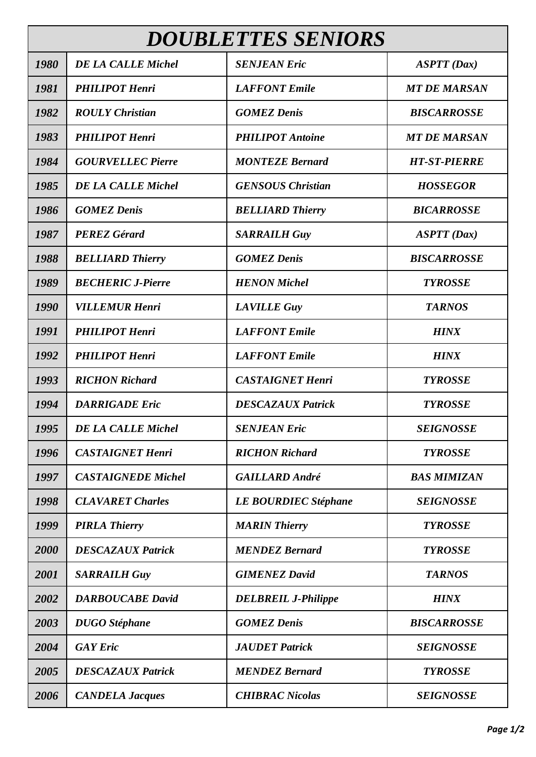| <b>DOUBLETTES SENIORS</b> |                           |                             |                     |  |
|---------------------------|---------------------------|-----------------------------|---------------------|--|
| 1980                      | <b>DE LA CALLE Michel</b> | <b>SENJEAN Eric</b>         | ASTT(Dax)           |  |
| 1981                      | <b>PHILIPOT Henri</b>     | <b>LAFFONT</b> Emile        | <b>MT DE MARSAN</b> |  |
| 1982                      | <b>ROULY Christian</b>    | <b>GOMEZ Denis</b>          | <b>BISCARROSSE</b>  |  |
| 1983                      | <b>PHILIPOT Henri</b>     | <b>PHILIPOT</b> Antoine     | <b>MT DE MARSAN</b> |  |
| 1984                      | <b>GOURVELLEC Pierre</b>  | <b>MONTEZE Bernard</b>      | <b>HT-ST-PIERRE</b> |  |
| 1985                      | <b>DE LA CALLE Michel</b> | <b>GENSOUS Christian</b>    | <b>HOSSEGOR</b>     |  |
| 1986                      | <b>GOMEZ Denis</b>        | <b>BELLIARD Thierry</b>     | <b>BICARROSSE</b>   |  |
| 1987                      | <b>PEREZ Gérard</b>       | <b>SARRAILH Guy</b>         | ASTT(Dax)           |  |
| 1988                      | <b>BELLIARD Thierry</b>   | <b>GOMEZ Denis</b>          | <b>BISCARROSSE</b>  |  |
| 1989                      | <b>BECHERIC J-Pierre</b>  | <b>HENON</b> Michel         | <b>TYROSSE</b>      |  |
| 1990                      | <b>VILLEMUR Henri</b>     | <b>LAVILLE Guy</b>          | <b>TARNOS</b>       |  |
| 1991                      | <b>PHILIPOT Henri</b>     | <b>LAFFONT</b> Emile        | <b>HINX</b>         |  |
| 1992                      | <b>PHILIPOT Henri</b>     | <b>LAFFONT</b> Emile        | <b>HINX</b>         |  |
| 1993                      | <b>RICHON Richard</b>     | <b>CASTAIGNET Henri</b>     | <b>TYROSSE</b>      |  |
| 1994                      | <b>DARRIGADE Eric</b>     | <b>DESCAZAUX Patrick</b>    | <b>TYROSSE</b>      |  |
| 1995                      | <b>DE LA CALLE Michel</b> | <b>SENJEAN Eric</b>         | <b>SEIGNOSSE</b>    |  |
| 1996                      | <b>CASTAIGNET Henri</b>   | <b>RICHON Richard</b>       | <b>TYROSSE</b>      |  |
| 1997                      | <b>CASTAIGNEDE Michel</b> | <b>GAILLARD André</b>       | <b>BAS MIMIZAN</b>  |  |
| 1998                      | <b>CLAVARET Charles</b>   | <b>LE BOURDIEC Stéphane</b> | <b>SEIGNOSSE</b>    |  |
| 1999                      | <b>PIRLA Thierry</b>      | <b>MARIN Thierry</b>        | <b>TYROSSE</b>      |  |
| 2000                      | <b>DESCAZAUX Patrick</b>  | <b>MENDEZ Bernard</b>       | <b>TYROSSE</b>      |  |
| 2001                      | <b>SARRAILH Guy</b>       | <b>GIMENEZ David</b>        | <b>TARNOS</b>       |  |
| 2002                      | <b>DARBOUCABE David</b>   | <b>DELBREIL J-Philippe</b>  | <b>HINX</b>         |  |
| 2003                      | <b>DUGO</b> Stéphane      | <b>GOMEZ Denis</b>          | <b>BISCARROSSE</b>  |  |
| 2004                      | <b>GAY</b> Eric           | <b>JAUDET</b> Patrick       | <b>SEIGNOSSE</b>    |  |
| 2005                      | <b>DESCAZAUX Patrick</b>  | <b>MENDEZ Bernard</b>       | <b>TYROSSE</b>      |  |
| 2006                      | <b>CANDELA Jacques</b>    | <b>CHIBRAC Nicolas</b>      | <b>SEIGNOSSE</b>    |  |